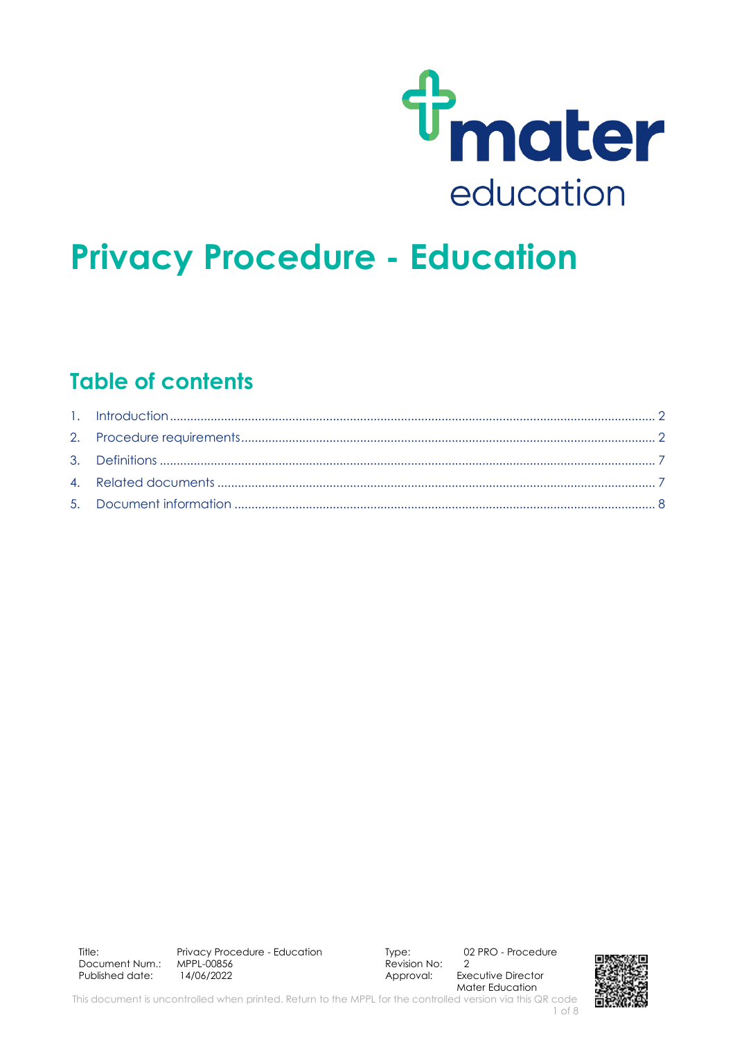

# **Privacy Procedure - Education**

# **Table of contents**

Approval: Executive Director Mater Education

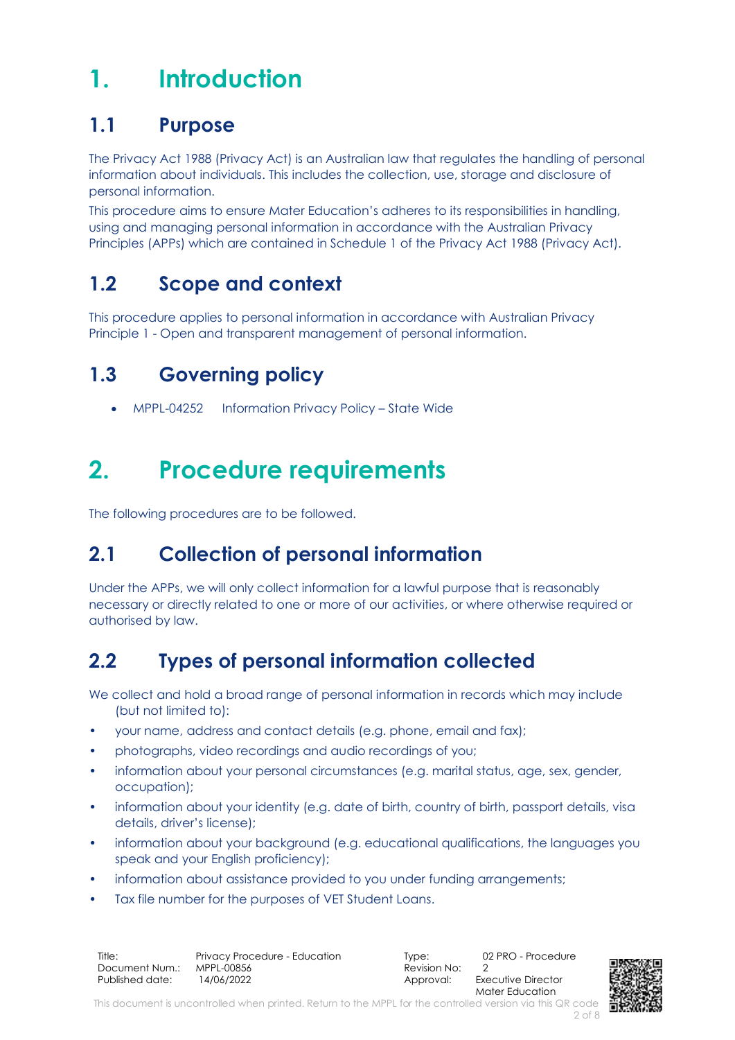# <span id="page-1-0"></span>**1. Introduction**

### **1.1 Purpose**

The Privacy Act 1988 (Privacy Act) is an Australian law that regulates the handling of personal information about individuals. This includes the collection, use, storage and disclosure of personal information.

This procedure aims to ensure Mater Education's adheres to its responsibilities in handling, using and managing personal information in accordance with the Australian Privacy Principles (APPs) which are contained in Schedule 1 of the Privacy Act 1988 (Privacy Act).

# **1.2 Scope and context**

This procedure applies to personal information in accordance with Australian Privacy Principle 1 - Open and transparent management of personal information.

# **1.3 Governing policy**

• MPPL-04252 Information Privacy Policy – State Wide

# <span id="page-1-1"></span>**2. Procedure requirements**

The following procedures are to be followed.

# **2.1 Collection of personal information**

Under the APPs, we will only collect information for a lawful purpose that is reasonably necessary or directly related to one or more of our activities, or where otherwise required or authorised by law.

# **2.2 Types of personal information collected**

We collect and hold a broad range of personal information in records which may include (but not limited to):

- your name, address and contact details (e.g. phone, email and fax);
- photographs, video recordings and audio recordings of you;
- information about your personal circumstances (e.g. marital status, age, sex, gender, occupation);
- information about your identity (e.g. date of birth, country of birth, passport details, visa details, driver's license);
- information about your background (e.g. educational qualifications, the languages you speak and your English proficiency);
- information about assistance provided to you under funding arrangements;
- Tax file number for the purposes of VET Student Loans.

| Title:          | Privacy Procedure - Education |
|-----------------|-------------------------------|
| Document Num.:  | MPPL-00856                    |
| Published date: | 14/06/2022                    |

Type: 02 PRO - Procedure  $\overline{\text{Re}}$  vision No: 2

Approval: Executive Director Mater Education



This document is uncontrolled when printed. Return to the MPPL for the controlled version via this QR code 2 of 8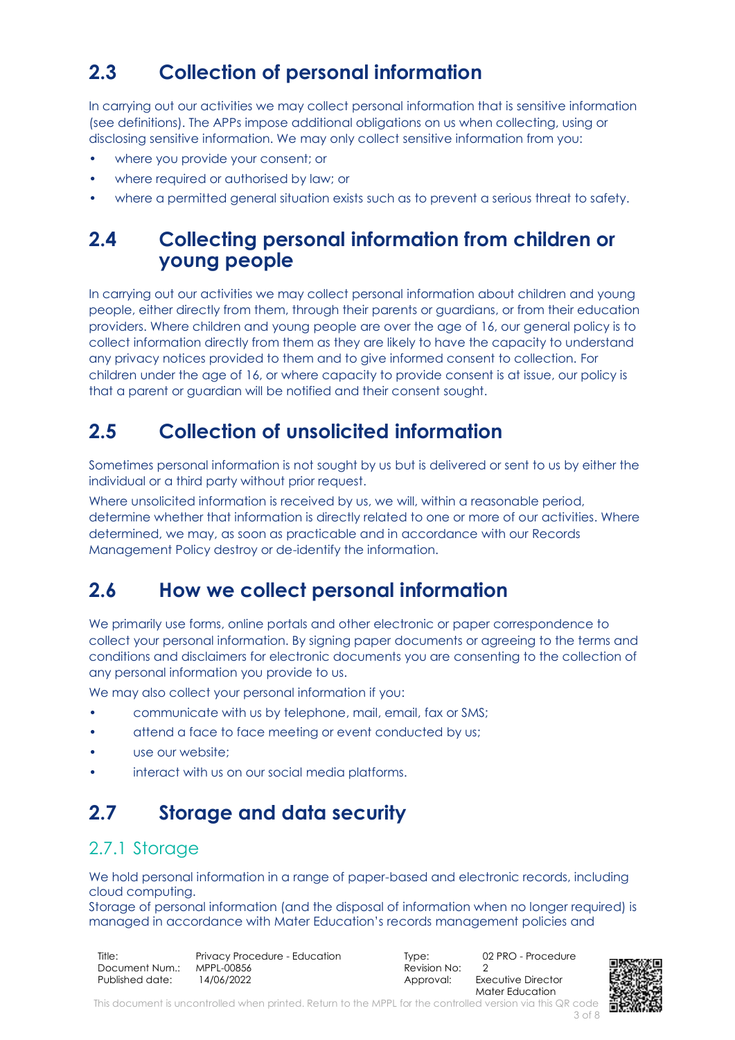# **2.3 Collection of personal information**

In carrying out our activities we may collect personal information that is sensitive information (see definitions). The APPs impose additional obligations on us when collecting, using or disclosing sensitive information. We may only collect sensitive information from you:

- where you provide your consent; or
- where required or authorised by law; or
- where a permitted general situation exists such as to prevent a serious threat to safety.

### **2.4 Collecting personal information from children or young people**

In carrying out our activities we may collect personal information about children and young people, either directly from them, through their parents or guardians, or from their education providers. Where children and young people are over the age of 16, our general policy is to collect information directly from them as they are likely to have the capacity to understand any privacy notices provided to them and to give informed consent to collection. For children under the age of 16, or where capacity to provide consent is at issue, our policy is that a parent or guardian will be notified and their consent sought.

### **2.5 Collection of unsolicited information**

Sometimes personal information is not sought by us but is delivered or sent to us by either the individual or a third party without prior request.

Where unsolicited information is received by us, we will, within a reasonable period, determine whether that information is directly related to one or more of our activities. Where determined, we may, as soon as practicable and in accordance with our Records Management Policy destroy or de-identify the information.

#### **2.6 How we collect personal information**

We primarily use forms, online portals and other electronic or paper correspondence to collect your personal information. By signing paper documents or agreeing to the terms and conditions and disclaimers for electronic documents you are consenting to the collection of any personal information you provide to us.

We may also collect your personal information if you:

- communicate with us by telephone, mail, email, fax or SMS;
- attend a face to face meeting or event conducted by us;
- use our website:
- interact with us on our social media platforms.

#### **2.7 Storage and data security**

#### 2.7.1 Storage

We hold personal information in a range of paper-based and electronic records, including cloud computing.

Storage of personal information (and the disposal of information when no longer required) is managed in accordance with Mater Education's records management policies and

| Title:          | Privacy Procedure - Education |
|-----------------|-------------------------------|
| Document Num.:  | MPPL-00856                    |
| Published date: | 14/06/2022                    |

 $\overline{\text{Re}}$  vision No: 2

Type: 02 PRO - Procedure Approval: Executive Director Mater Education

This document is uncontrolled when printed. Return to the MPPL for the controlled version via this QR code 3 of 8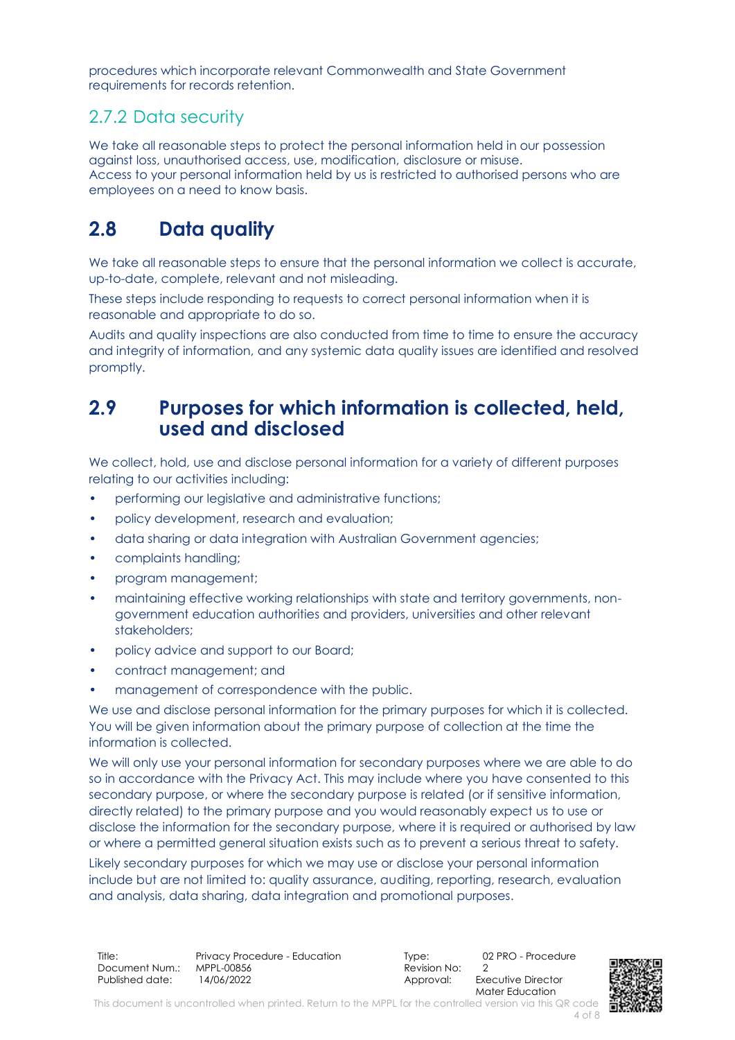procedures which incorporate relevant Commonwealth and State Government requirements for records retention.

#### 2.7.2 Data security

We take all reasonable steps to protect the personal information held in our possession against loss, unauthorised access, use, modification, disclosure or misuse. Access to your personal information held by us is restricted to authorised persons who are employees on a need to know basis.

### **2.8 Data quality**

We take all reasonable steps to ensure that the personal information we collect is accurate, up-to-date, complete, relevant and not misleading.

These steps include responding to requests to correct personal information when it is reasonable and appropriate to do so.

Audits and quality inspections are also conducted from time to time to ensure the accuracy and integrity of information, and any systemic data quality issues are identified and resolved promptly.

#### **2.9 Purposes for which information is collected, held, used and disclosed**

We collect, hold, use and disclose personal information for a variety of different purposes relating to our activities including:

- performing our legislative and administrative functions;
- policy development, research and evaluation;
- data sharing or data integration with Australian Government agencies;
- complaints handling;
- program management;
- maintaining effective working relationships with state and territory governments, nongovernment education authorities and providers, universities and other relevant stakeholders;
- policy advice and support to our Board;
- contract management; and
- management of correspondence with the public.

We use and disclose personal information for the primary purposes for which it is collected. You will be given information about the primary purpose of collection at the time the information is collected.

We will only use your personal information for secondary purposes where we are able to do so in accordance with the Privacy Act. This may include where you have consented to this secondary purpose, or where the secondary purpose is related (or if sensitive information, directly related) to the primary purpose and you would reasonably expect us to use or disclose the information for the secondary purpose, where it is required or authorised by law or where a permitted general situation exists such as to prevent a serious threat to safety.

Likely secondary purposes for which we may use or disclose your personal information include but are not limited to: quality assurance, auditing, reporting, research, evaluation and analysis, data sharing, data integration and promotional purposes.

Title: Privacy Procedure - Education Type: 02 PRO - Procedure - Procedure Consument Num.: MPPL-00856 Document Num.: MPPL-00856 Revision No: 2 Published date: 14/06/2022 Approval: Executive Director

Mater Education



This document is uncontrolled when printed. Return to the MPPL for the controlled version via this QR code

4 of 8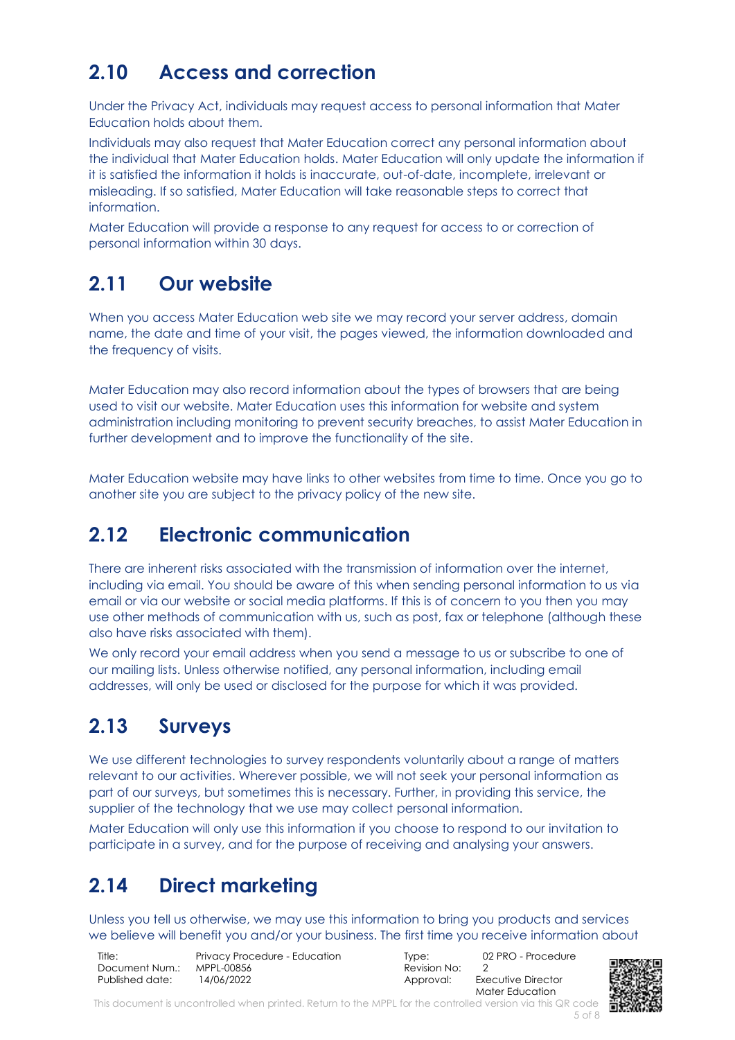### **2.10 Access and correction**

Under the Privacy Act, individuals may request access to personal information that Mater Education holds about them.

Individuals may also request that Mater Education correct any personal information about the individual that Mater Education holds. Mater Education will only update the information if it is satisfied the information it holds is inaccurate, out-of-date, incomplete, irrelevant or misleading. If so satisfied, Mater Education will take reasonable steps to correct that information.

Mater Education will provide a response to any request for access to or correction of personal information within 30 days.

#### **2.11 Our website**

When you access Mater Education web site we may record your server address, domain name, the date and time of your visit, the pages viewed, the information downloaded and the frequency of visits.

Mater Education may also record information about the types of browsers that are being used to visit our website. Mater Education uses this information for website and system administration including monitoring to prevent security breaches, to assist Mater Education in further development and to improve the functionality of the site.

Mater Education website may have links to other websites from time to time. Once you go to another site you are subject to the privacy policy of the new site.

#### **2.12 Electronic communication**

There are inherent risks associated with the transmission of information over the internet, including via email. You should be aware of this when sending personal information to us via email or via our website or social media platforms. If this is of concern to you then you may use other methods of communication with us, such as post, fax or telephone (although these also have risks associated with them).

We only record your email address when you send a message to us or subscribe to one of our mailing lists. Unless otherwise notified, any personal information, including email addresses, will only be used or disclosed for the purpose for which it was provided.

#### **2.13 Surveys**

We use different technologies to survey respondents voluntarily about a range of matters relevant to our activities. Wherever possible, we will not seek your personal information as part of our surveys, but sometimes this is necessary. Further, in providing this service, the supplier of the technology that we use may collect personal information.

Mater Education will only use this information if you choose to respond to our invitation to participate in a survey, and for the purpose of receiving and analysing your answers.

### **2.14 Direct marketing**

Unless you tell us otherwise, we may use this information to bring you products and services we believe will benefit you and/or your business. The first time you receive information about

| Title:          | Privacy Procedure - Education |
|-----------------|-------------------------------|
| Document Num.:  | MPPL-00856                    |
| Published date: | 14/06/2022                    |

 $\overline{\text{Re}}$  vision No: 2

Type: 02 PRO - Procedure Approval: Executive Director Mater Education



This document is uncontrolled when printed. Return to the MPPL for the controlled version via this QR code 5 of 8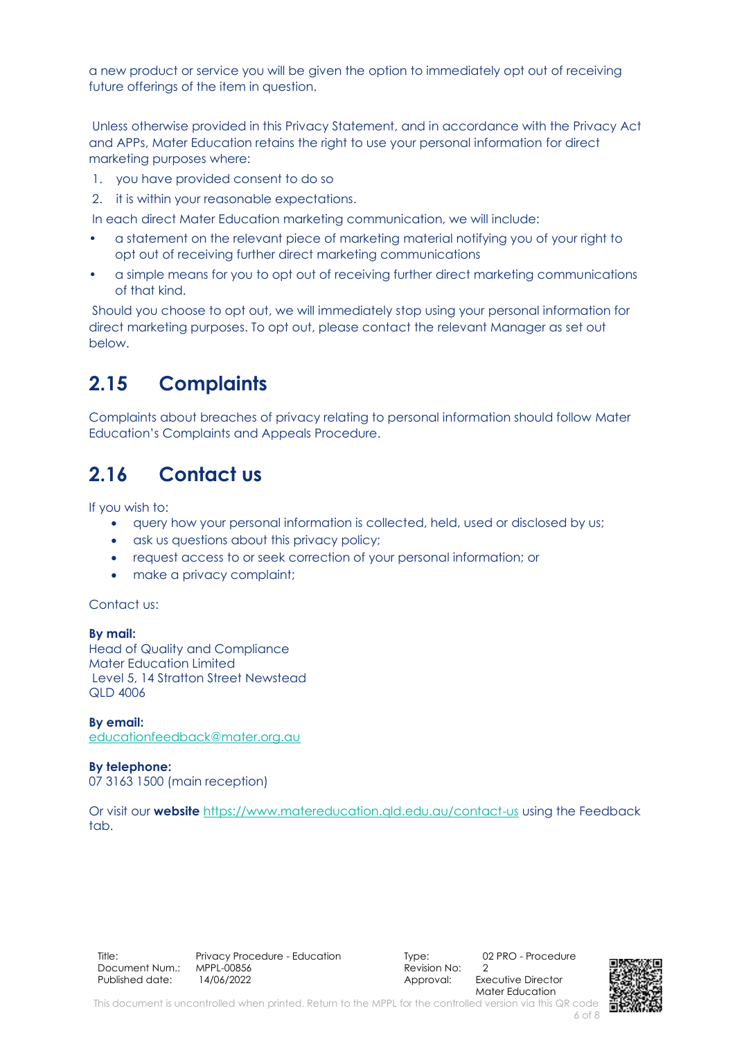a new product or service you will be given the option to immediately opt out of receiving future offerings of the item in question.

Unless otherwise provided in this Privacy Statement, and in accordance with the Privacy Act and APPs, Mater Education retains the right to use your personal information for direct marketing purposes where:

- 1. you have provided consent to do so
- 2. it is within your reasonable expectations.

In each direct Mater Education marketing communication, we will include:

- a statement on the relevant piece of marketing material notifying you of your right to opt out of receiving further direct marketing communications
- a simple means for you to opt out of receiving further direct marketing communications of that kind.

Should you choose to opt out, we will immediately stop using your personal information for direct marketing purposes. To opt out, please contact the relevant Manager as set out below.

### **2.15 Complaints**

Complaints about breaches of privacy relating to personal information should follow Mater Education's Complaints and Appeals Procedure.

# **2.16 Contact us**

If you wish to:

- query how your personal information is collected, held, used or disclosed by us;
- ask us questions about this privacy policy;
- request access to or seek correction of your personal information; or
- make a privacy complaint;

Contact us:

**By mail:**  Head of Quality and Compliance Mater Education Limited Level 5, 14 Stratton Street Newstead QLD 4006

**By email:** [educationfeedback@mater.org.au](mailto:privacy@education.gov.au)

**By telephone:**  07 3163 1500 (main reception)

Or visit our **website** <https://www.matereducation.qld.edu.au/contact-us> using the Feedback tab.

Title: Privacy Procedure - Education Type: 02 PRO - Procedure - Procedure Consument Num.: MPPL-00856 Document Num.: MPPL-00856 Revision No: 2 Published date: 14/06/2022 1990 12: Approval: Executive Director

Mater Education



6 of 8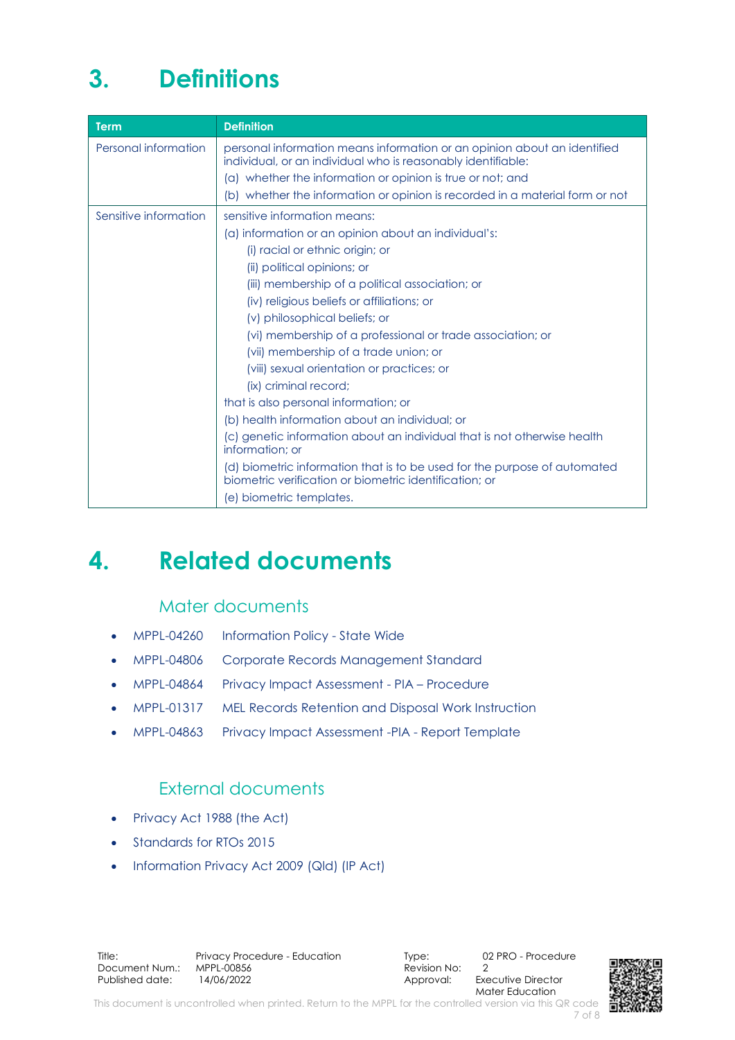# <span id="page-6-0"></span>**3. Definitions**

| <b>Term</b>           | <b>Definition</b>                                                                                                                        |
|-----------------------|------------------------------------------------------------------------------------------------------------------------------------------|
| Personal information  | personal information means information or an opinion about an identified<br>individual, or an individual who is reasonably identifiable: |
|                       | (a) whether the information or opinion is true or not; and                                                                               |
|                       | (b) whether the information or opinion is recorded in a material form or not                                                             |
| Sensitive information | sensitive information means:                                                                                                             |
|                       | (a) information or an opinion about an individual's:                                                                                     |
|                       | (i) racial or ethnic origin; or                                                                                                          |
|                       | (ii) political opinions; or                                                                                                              |
|                       | (iii) membership of a political association; or                                                                                          |
|                       | (iv) religious beliefs or affiliations; or                                                                                               |
|                       | (v) philosophical beliefs; or                                                                                                            |
|                       | (vi) membership of a professional or trade association; or                                                                               |
|                       | (vii) membership of a trade union; or                                                                                                    |
|                       | (viii) sexual orientation or practices; or                                                                                               |
|                       | (ix) criminal record;                                                                                                                    |
|                       | that is also personal information; or                                                                                                    |
|                       | (b) health information about an individual; or                                                                                           |
|                       | (c) genetic information about an individual that is not otherwise health<br>information; or                                              |
|                       | (d) biometric information that is to be used for the purpose of automated<br>biometric verification or biometric identification: or      |
|                       | (e) biometric templates.                                                                                                                 |

# <span id="page-6-1"></span>**4. Related documents**

#### Mater documents

- MPPL-04260 Information Policy State Wide
- MPPL-04806 Corporate Records Management Standard
- MPPL-04864 Privacy Impact Assessment PIA Procedure
- MPPL-01317 MEL Records Retention and Disposal Work Instruction
- MPPL-04863 Privacy Impact Assessment -PIA Report Template

#### External documents

- Privacy Act 1988 (the Act)
- Standards for RTOs 2015
- [Information Privacy Act 2009](https://www.legislation.qld.gov.au/view/html/inforce/current/act-2009-014) (Qld) (IP Act)